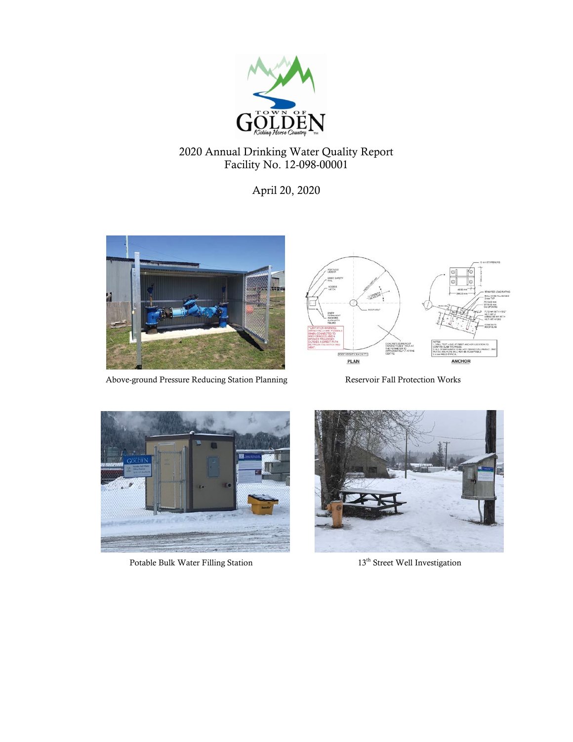

# 2020 Annual Drinking Water Quality Report Facility No. 12-098-00001

April 20, 2020



Above-ground Pressure Reducing Station Planning Reservoir Fall Protection Works





Potable Bulk Water Filling Station 13<sup>th</sup> Street Well Investigation

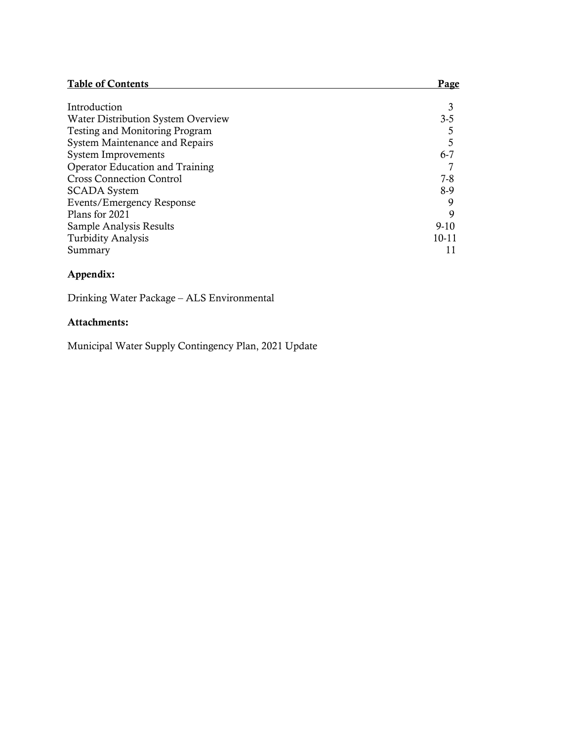| <b>Table of Contents</b>               | Page      |
|----------------------------------------|-----------|
|                                        |           |
| Introduction                           |           |
| Water Distribution System Overview     | $3 - 5$   |
| Testing and Monitoring Program         |           |
| System Maintenance and Repairs         |           |
| <b>System Improvements</b>             | $6 - 7$   |
| <b>Operator Education and Training</b> |           |
| <b>Cross Connection Control</b>        | $7 - 8$   |
| <b>SCADA</b> System                    | 8-9       |
| Events/Emergency Response              |           |
| Plans for 2021                         | 9         |
| Sample Analysis Results                | $9-10$    |
| <b>Turbidity Analysis</b>              | $10 - 11$ |
| Summary                                |           |

## Appendix:

Drinking Water Package – ALS Environmental

## Attachments:

Municipal Water Supply Contingency Plan, 2021 Update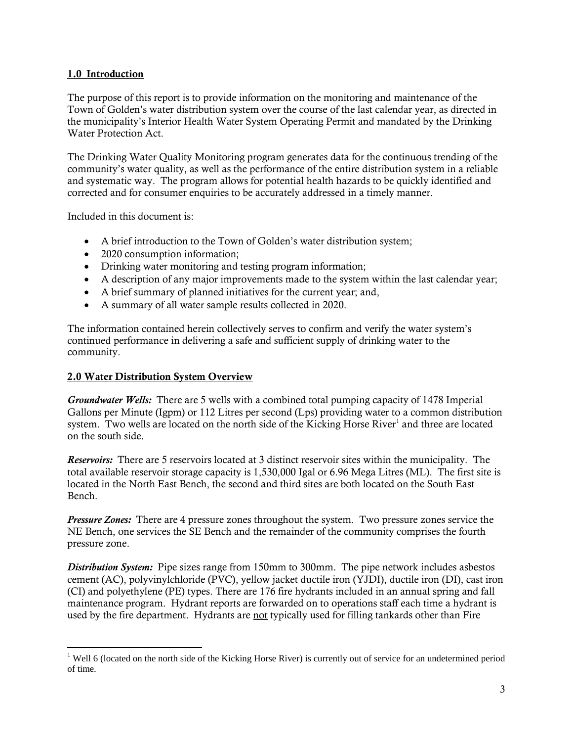### 1.0 Introduction

The purpose of this report is to provide information on the monitoring and maintenance of the Town of Golden's water distribution system over the course of the last calendar year, as directed in the municipality's Interior Health Water System Operating Permit and mandated by the Drinking Water Protection Act.

The Drinking Water Quality Monitoring program generates data for the continuous trending of the community's water quality, as well as the performance of the entire distribution system in a reliable and systematic way. The program allows for potential health hazards to be quickly identified and corrected and for consumer enquiries to be accurately addressed in a timely manner.

Included in this document is:

- A brief introduction to the Town of Golden's water distribution system;
- 2020 consumption information;
- Drinking water monitoring and testing program information;
- A description of any major improvements made to the system within the last calendar year;
- A brief summary of planned initiatives for the current year; and,
- A summary of all water sample results collected in 2020.

The information contained herein collectively serves to confirm and verify the water system's continued performance in delivering a safe and sufficient supply of drinking water to the community.

### 2.0 Water Distribution System Overview

*Groundwater Wells:* There are 5 wells with a combined total pumping capacity of 1478 Imperial Gallons per Minute (Igpm) or 112 Litres per second (Lps) providing water to a common distribution system. Two wells are located on the north side of the Kicking Horse River<sup>1</sup> and three are located on the south side.

*Reservoirs:* There are 5 reservoirs located at 3 distinct reservoir sites within the municipality. The total available reservoir storage capacity is 1,530,000 Igal or 6.96 Mega Litres (ML). The first site is located in the North East Bench, the second and third sites are both located on the South East Bench.

*Pressure Zones:* There are 4 pressure zones throughout the system. Two pressure zones service the NE Bench, one services the SE Bench and the remainder of the community comprises the fourth pressure zone.

*Distribution System:* Pipe sizes range from 150mm to 300mm. The pipe network includes asbestos cement (AC), polyvinylchloride (PVC), yellow jacket ductile iron (YJDI), ductile iron (DI), cast iron (CI) and polyethylene (PE) types. There are 176 fire hydrants included in an annual spring and fall maintenance program. Hydrant reports are forwarded on to operations staff each time a hydrant is used by the fire department. Hydrants are not typically used for filling tankards other than Fire

<span id="page-2-0"></span><sup>&</sup>lt;sup>1</sup> Well 6 (located on the north side of the Kicking Horse River) is currently out of service for an undetermined period of time.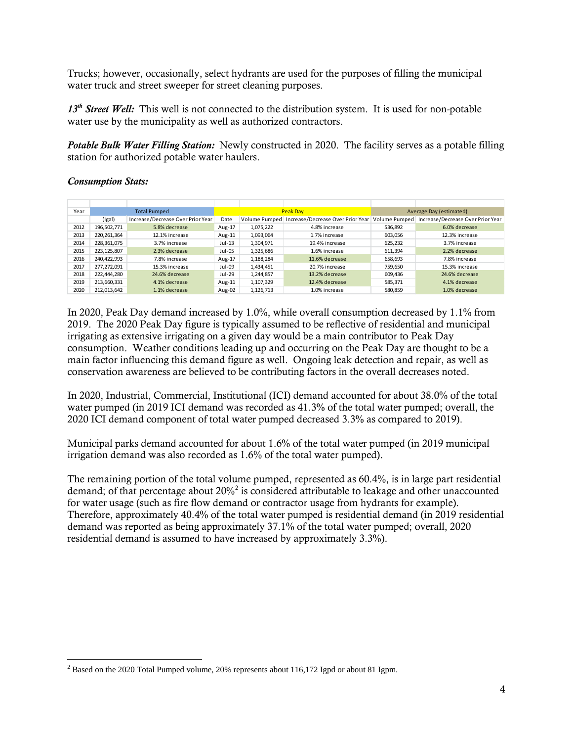Trucks; however, occasionally, select hydrants are used for the purposes of filling the municipal water truck and street sweeper for street cleaning purposes.

13<sup>th</sup> Street Well: This well is not connected to the distribution system. It is used for non-potable water use by the municipality as well as authorized contractors.

*Potable Bulk Water Filling Station:* Newly constructed in 2020. The facility serves as a potable filling station for authorized potable water haulers.

*Consumption Stats:* 

| Year |             | <b>Total Pumped</b>               |          |               | <b>Peak Dav</b>                   | Average Day (estimated) |                                   |  |
|------|-------------|-----------------------------------|----------|---------------|-----------------------------------|-------------------------|-----------------------------------|--|
|      | (lgal)      | Increase/Decrease Over Prior Year | Date     | Volume Pumped | Increase/Decrease Over Prior Year | Volume Pumped           | Increase/Decrease Over Prior Year |  |
| 2012 | 196.502.771 | 5.8% decrease                     | Aug-17   | 1.075.222     | 4.8% increase                     | 536.892                 | 6.0% decrease                     |  |
| 2013 | 220.261.364 | 12.1% increase                    | Aug-11   | 1,093,064     | 1.7% increase                     | 603,056                 | 12.3% increase                    |  |
| 2014 | 228,361,075 | 3.7% increase                     | $Jul-13$ | 1,304,971     | 19.4% increase                    | 625,232                 | 3.7% increase                     |  |
| 2015 | 223.125.807 | 2.3% decrease                     | Jul-05   | 1.325.686     | 1.6% increase                     | 611,394                 | 2.2% decrease                     |  |
| 2016 | 240,422,993 | 7.8% increase                     | Aug-17   | 1,188,284     | 11.6% decrease                    | 658,693                 | 7.8% increase                     |  |
| 2017 | 277.272.091 | 15.3% increase                    | Jul-09   | 1.434.451     | 20.7% increase                    | 759.650                 | 15.3% increase                    |  |
| 2018 | 222.444.280 | 24.6% decrease                    | Jul-29   | 1.244.857     | 13.2% decrease                    | 609,436                 | 24.6% decrease                    |  |
| 2019 | 213,660,331 | 4.1% decrease                     | Aug-11   | 1,107,329     | 12.4% decrease                    | 585,371                 | 4.1% decrease                     |  |
| 2020 | 212,013,642 | 1.1% decrease                     | Aug-02   | 1,126,713     | 1.0% increase                     | 580,859                 | 1.0% decrease                     |  |

In 2020, Peak Day demand increased by 1.0%, while overall consumption decreased by 1.1% from 2019. The 2020 Peak Day figure is typically assumed to be reflective of residential and municipal irrigating as extensive irrigating on a given day would be a main contributor to Peak Day consumption. Weather conditions leading up and occurring on the Peak Day are thought to be a main factor influencing this demand figure as well. Ongoing leak detection and repair, as well as conservation awareness are believed to be contributing factors in the overall decreases noted.

In 2020, Industrial, Commercial, Institutional (ICI) demand accounted for about 38.0% of the total water pumped (in 2019 ICI demand was recorded as 41.3% of the total water pumped; overall, the 2020 ICI demand component of total water pumped decreased 3.3% as compared to 2019).

Municipal parks demand accounted for about 1.6% of the total water pumped (in 2019 municipal irrigation demand was also recorded as 1.6% of the total water pumped).

The remaining portion of the total volume pumped, represented as 60.4%, is in large part residential demand; of that percentage about [2](#page-3-0)0%<sup>2</sup> is considered attributable to leakage and other unaccounted for water usage (such as fire flow demand or contractor usage from hydrants for example). Therefore, approximately 40.4% of the total water pumped is residential demand (in 2019 residential demand was reported as being approximately 37.1% of the total water pumped; overall, 2020 residential demand is assumed to have increased by approximately 3.3%).

<span id="page-3-0"></span> <sup>2</sup> Based on the 2020 Total Pumped volume, 20% represents about 116,172 Igpd or about 81 Igpm.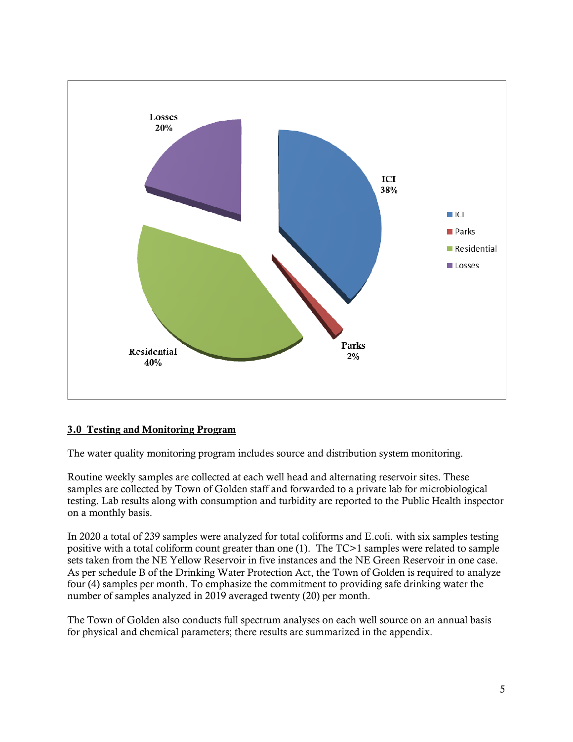

### 3.0 Testing and Monitoring Program

The water quality monitoring program includes source and distribution system monitoring.

Routine weekly samples are collected at each well head and alternating reservoir sites. These samples are collected by Town of Golden staff and forwarded to a private lab for microbiological testing. Lab results along with consumption and turbidity are reported to the Public Health inspector on a monthly basis.

In 2020 a total of 239 samples were analyzed for total coliforms and E.coli. with six samples testing positive with a total coliform count greater than one (1). The TC>1 samples were related to sample sets taken from the NE Yellow Reservoir in five instances and the NE Green Reservoir in one case. As per schedule B of the Drinking Water Protection Act, the Town of Golden is required to analyze four (4) samples per month. To emphasize the commitment to providing safe drinking water the number of samples analyzed in 2019 averaged twenty (20) per month.

The Town of Golden also conducts full spectrum analyses on each well source on an annual basis for physical and chemical parameters; there results are summarized in the appendix.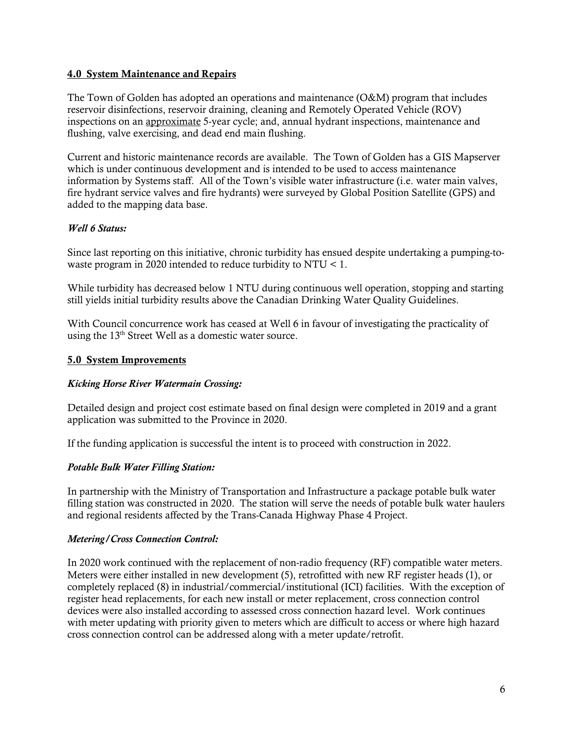#### 4.0 System Maintenance and Repairs

The Town of Golden has adopted an operations and maintenance (O&M) program that includes reservoir disinfections, reservoir draining, cleaning and Remotely Operated Vehicle (ROV) inspections on an approximate 5-year cycle; and, annual hydrant inspections, maintenance and flushing, valve exercising, and dead end main flushing.

Current and historic maintenance records are available. The Town of Golden has a GIS Mapserver which is under continuous development and is intended to be used to access maintenance information by Systems staff. All of the Town's visible water infrastructure (i.e. water main valves, fire hydrant service valves and fire hydrants) were surveyed by Global Position Satellite (GPS) and added to the mapping data base.

### *Well 6 Status:*

Since last reporting on this initiative, chronic turbidity has ensued despite undertaking a pumping-towaste program in 2020 intended to reduce turbidity to NTU < 1.

While turbidity has decreased below 1 NTU during continuous well operation, stopping and starting still yields initial turbidity results above the Canadian Drinking Water Quality Guidelines.

With Council concurrence work has ceased at Well 6 in favour of investigating the practicality of using the  $13<sup>th</sup>$  Street Well as a domestic water source.

## 5.0 System Improvements

### *Kicking Horse River Watermain Crossing:*

Detailed design and project cost estimate based on final design were completed in 2019 and a grant application was submitted to the Province in 2020.

If the funding application is successful the intent is to proceed with construction in 2022.

### *Potable Bulk Water Filling Station:*

In partnership with the Ministry of Transportation and Infrastructure a package potable bulk water filling station was constructed in 2020. The station will serve the needs of potable bulk water haulers and regional residents affected by the Trans-Canada Highway Phase 4 Project.

### *Metering/Cross Connection Control:*

In 2020 work continued with the replacement of non-radio frequency (RF) compatible water meters. Meters were either installed in new development (5), retrofitted with new RF register heads (1), or completely replaced (8) in industrial/commercial/institutional (ICI) facilities. With the exception of register head replacements, for each new install or meter replacement, cross connection control devices were also installed according to assessed cross connection hazard level. Work continues with meter updating with priority given to meters which are difficult to access or where high hazard cross connection control can be addressed along with a meter update/retrofit.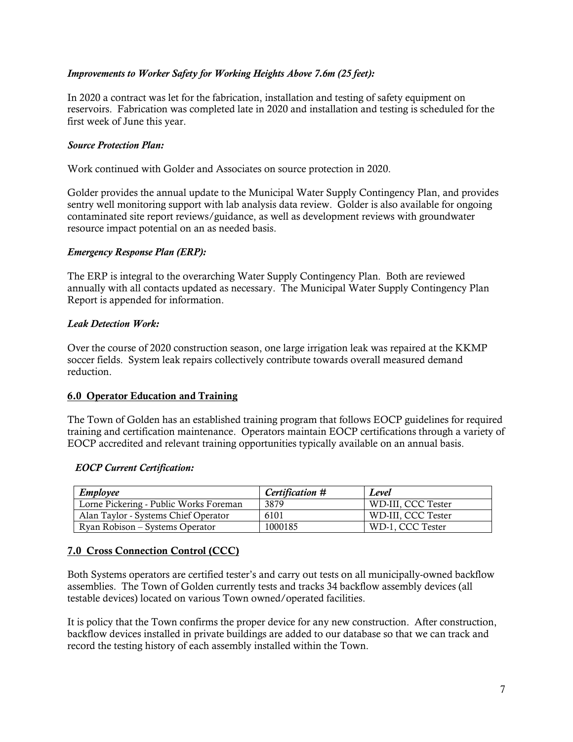### *Improvements to Worker Safety for Working Heights Above 7.6m (25 feet):*

In 2020 a contract was let for the fabrication, installation and testing of safety equipment on reservoirs. Fabrication was completed late in 2020 and installation and testing is scheduled for the first week of June this year.

#### *Source Protection Plan:*

Work continued with Golder and Associates on source protection in 2020.

Golder provides the annual update to the Municipal Water Supply Contingency Plan, and provides sentry well monitoring support with lab analysis data review. Golder is also available for ongoing contaminated site report reviews/guidance, as well as development reviews with groundwater resource impact potential on an as needed basis.

#### *Emergency Response Plan (ERP):*

The ERP is integral to the overarching Water Supply Contingency Plan. Both are reviewed annually with all contacts updated as necessary. The Municipal Water Supply Contingency Plan Report is appended for information.

### *Leak Detection Work:*

Over the course of 2020 construction season, one large irrigation leak was repaired at the KKMP soccer fields. System leak repairs collectively contribute towards overall measured demand reduction.

### 6.0 Operator Education and Training

The Town of Golden has an established training program that follows EOCP guidelines for required training and certification maintenance. Operators maintain EOCP certifications through a variety of EOCP accredited and relevant training opportunities typically available on an annual basis.

#### *EOCP Current Certification:*

| Employee                               | Certification # | Level              |
|----------------------------------------|-----------------|--------------------|
| Lorne Pickering - Public Works Foreman | 3879            | WD-III. CCC Tester |
| Alan Taylor - Systems Chief Operator   | 6101            | WD-III. CCC Tester |
| Ryan Robison – Systems Operator        | 1000185         | WD-1. CCC Tester   |

### 7.0 Cross Connection Control (CCC)

Both Systems operators are certified tester's and carry out tests on all municipally-owned backflow assemblies. The Town of Golden currently tests and tracks 34 backflow assembly devices (all testable devices) located on various Town owned/operated facilities.

It is policy that the Town confirms the proper device for any new construction. After construction, backflow devices installed in private buildings are added to our database so that we can track and record the testing history of each assembly installed within the Town.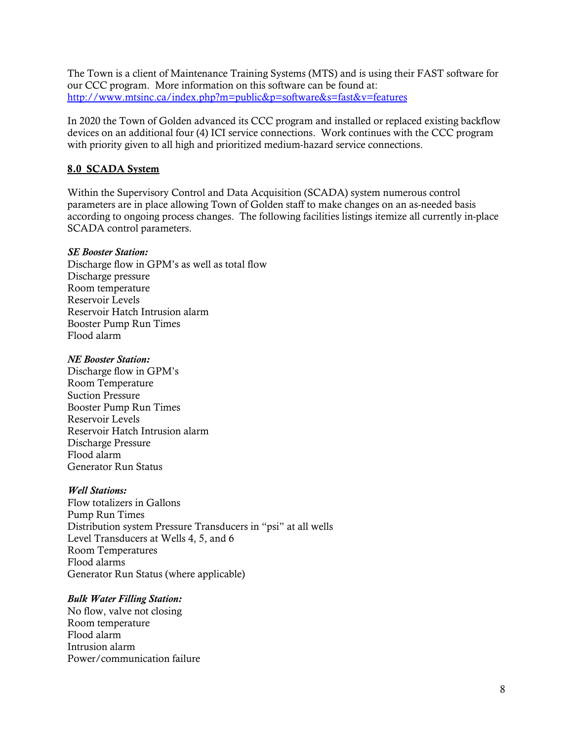The Town is a client of Maintenance Training Systems (MTS) and is using their FAST software for our CCC program. More information on this software can be found at: <http://www.mtsinc.ca/index.php?m=public&p=software&s=fast&v=features>

In 2020 the Town of Golden advanced its CCC program and installed or replaced existing backflow devices on an additional four (4) ICI service connections. Work continues with the CCC program with priority given to all high and prioritized medium-hazard service connections.

#### 8.0 SCADA System

Within the Supervisory Control and Data Acquisition (SCADA) system numerous control parameters are in place allowing Town of Golden staff to make changes on an as-needed basis according to ongoing process changes. The following facilities listings itemize all currently in-place SCADA control parameters.

#### *SE Booster Station:*

Discharge flow in GPM's as well as total flow Discharge pressure Room temperature Reservoir Levels Reservoir Hatch Intrusion alarm Booster Pump Run Times Flood alarm

#### *NE Booster Station:*

Discharge flow in GPM's Room Temperature Suction Pressure Booster Pump Run Times Reservoir Levels Reservoir Hatch Intrusion alarm Discharge Pressure Flood alarm Generator Run Status

#### *Well Stations:*

Flow totalizers in Gallons Pump Run Times Distribution system Pressure Transducers in "psi" at all wells Level Transducers at Wells 4, 5, and 6 Room Temperatures Flood alarms Generator Run Status (where applicable)

### *Bulk Water Filling Station:*

No flow, valve not closing Room temperature Flood alarm Intrusion alarm Power/communication failure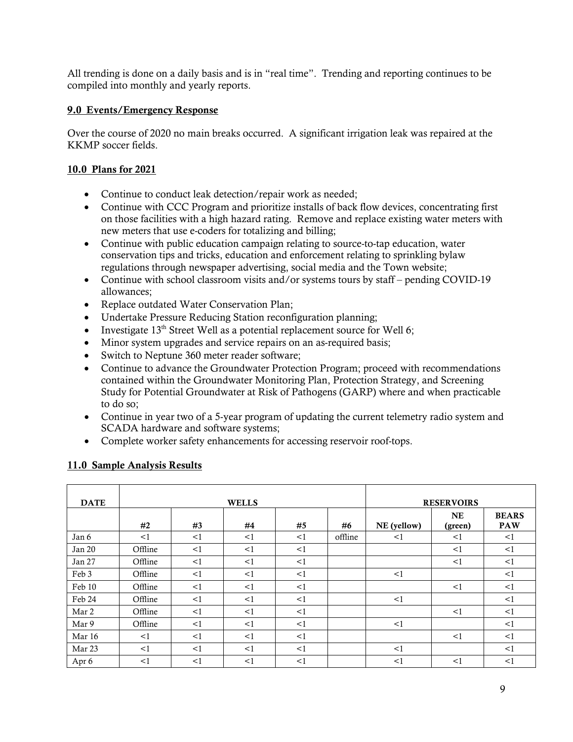All trending is done on a daily basis and is in "real time". Trending and reporting continues to be compiled into monthly and yearly reports.

## 9.0 Events/Emergency Response

Over the course of 2020 no main breaks occurred. A significant irrigation leak was repaired at the KKMP soccer fields.

## 10.0 Plans for 2021

- Continue to conduct leak detection/repair work as needed;
- Continue with CCC Program and prioritize installs of back flow devices, concentrating first on those facilities with a high hazard rating. Remove and replace existing water meters with new meters that use e-coders for totalizing and billing;
- Continue with public education campaign relating to source-to-tap education, water conservation tips and tricks, education and enforcement relating to sprinkling bylaw regulations through newspaper advertising, social media and the Town website;
- Continue with school classroom visits and/or systems tours by staff pending COVID-19 allowances;
- Replace outdated Water Conservation Plan;
- Undertake Pressure Reducing Station reconfiguration planning;
- Investigate  $13<sup>th</sup>$  Street Well as a potential replacement source for Well 6;
- Minor system upgrades and service repairs on an as-required basis;
- Switch to Neptune 360 meter reader software;
- Continue to advance the Groundwater Protection Program; proceed with recommendations contained within the Groundwater Monitoring Plan, Protection Strategy, and Screening Study for Potential Groundwater at Risk of Pathogens (GARP) where and when practicable to do so;
- Continue in year two of a 5-year program of updating the current telemetry radio system and SCADA hardware and software systems;
- Complete worker safety enhancements for accessing reservoir roof-tops.

### 11.0 Sample Analysis Results

| <b>DATE</b> |         |          | <b>WELLS</b> |    |         | <b>RESERVOIRS</b> |               |                            |  |
|-------------|---------|----------|--------------|----|---------|-------------------|---------------|----------------------------|--|
|             | #2      | #3       | #4           | #5 | #6      | NE (yellow)       | NE<br>(green) | <b>BEARS</b><br><b>PAW</b> |  |
| Jan 6       | <1      | <1       | <1           | <1 | offline | <1                | <1            | <1                         |  |
| Jan 20      | Offline | <1       | <1           | <1 |         |                   | <1            | <1                         |  |
| Jan 27      | Offline | <1       | <1           | <1 |         |                   | <1            | <1                         |  |
| Feb 3       | Offline | <1       | <1           | <1 |         | <1                |               | <1                         |  |
| Feb 10      | Offline | <1       | <1           | <1 |         |                   | <1            | <1                         |  |
| Feb 24      | Offline | <1       | <1           | <1 |         | <1                |               | <1                         |  |
| Mar 2       | Offline | $\leq$ 1 | <1           | <1 |         |                   | <1            | <1                         |  |
| Mar 9       | Offline | <1       | <1           | <1 |         | <1                |               | <1                         |  |
| Mar 16      | <1      | <1       | <1           | <1 |         |                   | <1            | <1                         |  |
| Mar 23      | <1      | <1       | <1           | <1 |         | <1                |               | <1                         |  |
| Apr 6       | <1      | <1       | <1           | <1 |         | <1                | <1            | <1                         |  |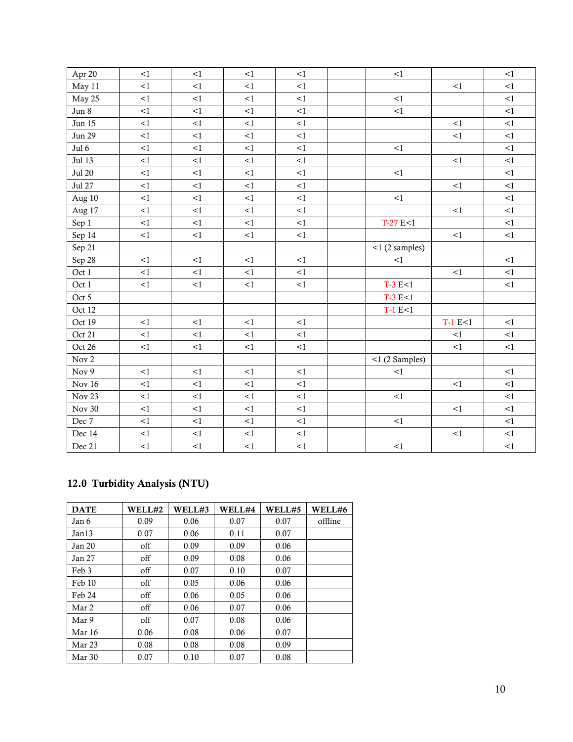| Apr 20        | <1       | <1       | <1     | <1     | <1                |           | <1     |
|---------------|----------|----------|--------|--------|-------------------|-----------|--------|
| May 11        | <1       | <1       | <1     | <1     |                   | <1        | <1     |
| May 25        | <1       | <1       | <1     | <1     | <1                |           | <1     |
| Jun 8         | $\leq$ 1 | <1       | <1     | <1     | <1                |           | <1     |
| Jun 15        | <1       | <1       | <1     | <1     |                   | <1        | <1     |
| <b>Jun 29</b> | <1       | <1       | <1     | <1     |                   | <1        | <1     |
| Jul 6         | <1       | <1       | <1     | <1     | <1                |           | <1     |
| Jul 13        | <1       | <1       | <1     | <1     |                   | <1        | <1     |
| <b>Jul 20</b> | <1       | <1       | <1     | <1     | <1                |           | <1     |
| Jul 27        | <1       | <1       | <1     | <1     |                   | <1        | <1     |
| Aug 10        | <1       | $\leq$ 1 | <1     | <1     | <1                |           | <1     |
| Aug 17        | <1       | $<\!1$   | $<\!1$ | <1     |                   | <1        | <1     |
| Sep 1         | <1       | <1       | <1     | $<\!1$ | $T-27 E < 1$      |           | <1     |
| Sep 14        | <1       | <1       | <1     | <1     |                   | <1        | <1     |
| Sep 21        |          |          |        |        | $<$ 1 (2 samples) |           |        |
| Sep 28        | <1       | <1       | <1     | <1     | <1                |           | <1     |
| Oct 1         | <1       | <1       | <1     | <1     |                   | <1        | <1     |
| Oct 1         | <1       | <1       | <1     | <1     | $T-3 E < 1$       |           | <1     |
| Oct 5         |          |          |        |        | $T-3 E < 1$       |           |        |
| Oct 12        |          |          |        |        | $T-1 E<1$         |           |        |
| Oct 19        | <1       | <1       | <1     | <1     |                   | $T-1 E<1$ | <1     |
| Oct 21        | <1       | <1       | <1     | <1     |                   | <1        | <1     |
| Oct 26        | <1       | <1       | <1     | <1     |                   | <1        | <1     |
| Nov 2         |          |          |        |        | $<$ 1 (2 Samples) |           |        |
| Nov 9         | <1       | <1       | <1     | <1     | <1                |           | <1     |
| <b>Nov 16</b> | <1       | <1       | <1     | <1     |                   | <1        | <1     |
| Nov 23        | <1       | $<\!1$   | <1     | $<\!1$ | <1                |           | <1     |
| <b>Nov 30</b> | <1       | <1       | <1     | <1     |                   | <1        | <1     |
| Dec 7         | <1       | <1       | <1     | <1     | <1                |           | <1     |
| Dec 14        | <1       | <1       | <1     | <1     |                   | <1        | <1     |
| Dec 21        | $\leq$ 1 | $\leq$ 1 | <1     | <1     | $<\!1$            |           | $<\!1$ |

## 12.0 Turbidity Analysis (NTU)

| <b>DATE</b>       | WELL#2 | WELL#3 | WELL#4 | WELL#5 | WELL#6  |
|-------------------|--------|--------|--------|--------|---------|
| Jan 6             | 0.09   | 0.06   | 0.07   | 0.07   | offline |
| Jan13             | 0.07   | 0.06   | 0.11   | 0.07   |         |
| Jan 20            | off    | 0.09   | 0.09   | 0.06   |         |
| Jan 27            | off    | 0.09   | 0.08   | 0.06   |         |
| Feb 3             | off    | 0.07   | 0.10   | 0.07   |         |
| Feb 10            | off    | 0.05   | 0.06   | 0.06   |         |
| Feb 24            | off    | 0.06   | 0.05   | 0.06   |         |
| Mar 2             | off    | 0.06   | 0.07   | 0.06   |         |
| Mar 9             | off    | 0.07   | 0.08   | 0.06   |         |
| Mar 16            | 0.06   | 0.08   | 0.06   | 0.07   |         |
| Mar <sub>23</sub> | 0.08   | 0.08   | 0.08   | 0.09   |         |
| Mar 30            | 0.07   | 0.10   | 0.07   | 0.08   |         |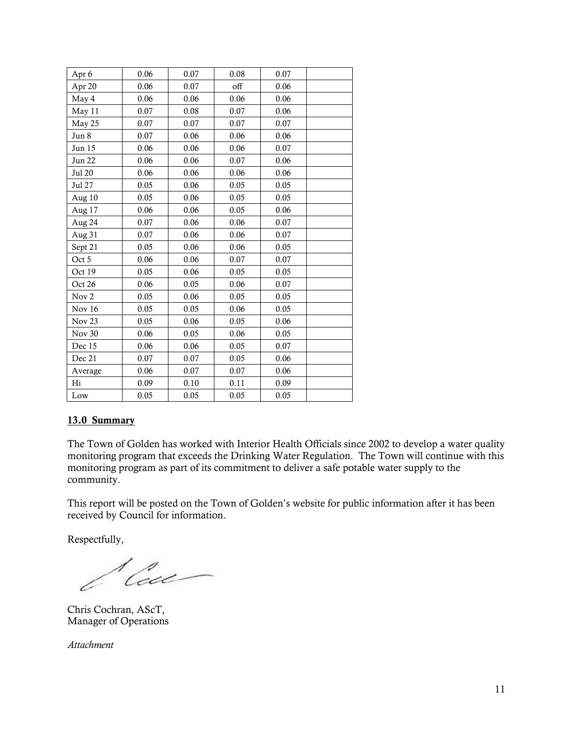| Apr 6             | 0.06 | 0.07 | 0.08 | 0.07 |  |
|-------------------|------|------|------|------|--|
| Apr 20            | 0.06 | 0.07 | off  | 0.06 |  |
| May 4             | 0.06 | 0.06 | 0.06 | 0.06 |  |
| May 11            | 0.07 | 0.08 | 0.07 | 0.06 |  |
| May 25            | 0.07 | 0.07 | 0.07 | 0.07 |  |
| Jun 8             | 0.07 | 0.06 | 0.06 | 0.06 |  |
| Jun 15            | 0.06 | 0.06 | 0.06 | 0.07 |  |
| <b>Jun 22</b>     | 0.06 | 0.06 | 0.07 | 0.06 |  |
| <b>Jul 20</b>     | 0.06 | 0.06 | 0.06 | 0.06 |  |
| Jul 27            | 0.05 | 0.06 | 0.05 | 0.05 |  |
| Aug 10            | 0.05 | 0.06 | 0.05 | 0.05 |  |
| Aug 17            | 0.06 | 0.06 | 0.05 | 0.06 |  |
| Aug 24            | 0.07 | 0.06 | 0.06 | 0.07 |  |
| Aug 31            | 0.07 | 0.06 | 0.06 | 0.07 |  |
| Sept 21           | 0.05 | 0.06 | 0.06 | 0.05 |  |
| Oct 5             | 0.06 | 0.06 | 0.07 | 0.07 |  |
| Oct 19            | 0.05 | 0.06 | 0.05 | 0.05 |  |
| Oct 26            | 0.06 | 0.05 | 0.06 | 0.07 |  |
| Nov <sub>2</sub>  | 0.05 | 0.06 | 0.05 | 0.05 |  |
| Nov 16            | 0.05 | 0.05 | 0.06 | 0.05 |  |
| Nov <sub>23</sub> | 0.05 | 0.06 | 0.05 | 0.06 |  |
| <b>Nov 30</b>     | 0.06 | 0.05 | 0.06 | 0.05 |  |
| Dec 15            | 0.06 | 0.06 | 0.05 | 0.07 |  |
| Dec 21            | 0.07 | 0.07 | 0.05 | 0.06 |  |
| Average           | 0.06 | 0.07 | 0.07 | 0.06 |  |
| Hi                | 0.09 | 0.10 | 0.11 | 0.09 |  |
| Low               | 0.05 | 0.05 | 0.05 | 0.05 |  |

### 13.0 Summary

The Town of Golden has worked with Interior Health Officials since 2002 to develop a water quality monitoring program that exceeds the Drinking Water Regulation. The Town will continue with this monitoring program as part of its commitment to deliver a safe potable water supply to the community.

This report will be posted on the Town of Golden's website for public information after it has been received by Council for information.

Respectfully,

*l'au* 

Chris Cochran, AScT, Manager of Operations

*Attachment*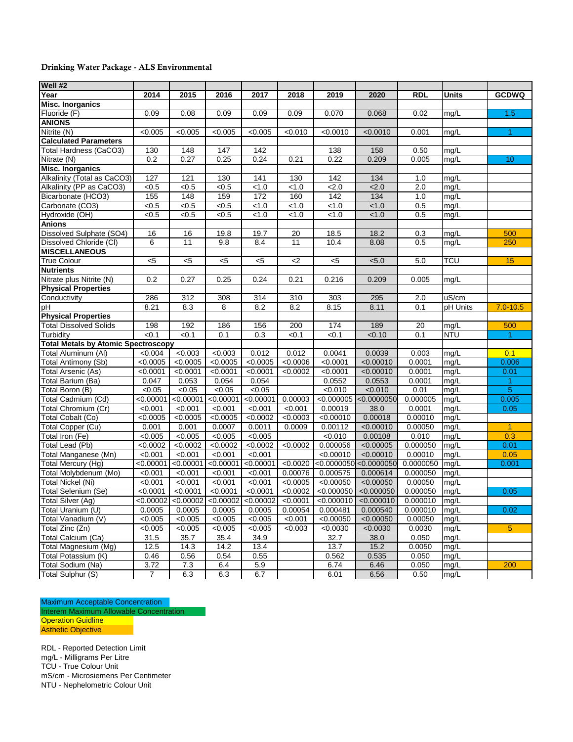#### Drinking Water Package - ALS Environmental

| Well #2                                    |           |                                                                   |           |           |          |             |                  |            |                    |                |
|--------------------------------------------|-----------|-------------------------------------------------------------------|-----------|-----------|----------|-------------|------------------|------------|--------------------|----------------|
| Year                                       | 2014      | 2015                                                              | 2016      | 2017      | 2018     | 2019        | 2020             | <b>RDL</b> | Units              | <b>GCDWQ</b>   |
| <b>Misc. Inorganics</b>                    |           |                                                                   |           |           |          |             |                  |            |                    |                |
| Fluoride (F)                               | 0.09      | 0.08                                                              | 0.09      | 0.09      | 0.09     | 0.070       | 0.068            | 0.02       | mg/L               | 1.5            |
| <b>ANIONS</b>                              |           |                                                                   |           |           |          |             |                  |            |                    |                |
| Nitrite (N)                                | < 0.005   | < 0.005                                                           | < 0.005   | < 0.005   | < 0.010  | < 0.0010    | < 0.0010         | 0.001      | mg/L               | 1              |
| <b>Calculated Parameters</b>               |           |                                                                   |           |           |          |             |                  |            |                    |                |
| Total Hardness (CaCO3)                     | 130       | 148                                                               | 147       | 142       |          | 138         | 158              | 0.50       | mg/L               |                |
| Nitrate (N)                                | 0.2       | 0.27                                                              | 0.25      | 0.24      | 0.21     | 0.22        | 0.209            | 0.005      | mg/L               | 10             |
| <b>Misc. Inorganics</b>                    |           |                                                                   |           |           |          |             |                  |            |                    |                |
| Alkalinity (Total as CaCO3)                | 127       | 121                                                               | 130       | 141       | 130      | 142         | 134              | 1.0        | mg/L               |                |
| Alkalinity (PP as CaCO3)                   | < 0.5     | < 0.5                                                             | < 0.5     | < 1.0     | < 1.0    | 2.0         | 2.0              | 2.0        | mg/L               |                |
| Bicarbonate (HCO3)                         | 155       | 148                                                               | 159       | 172       | 160      | 142         | 134              | 1.0        | mg/L               |                |
| Carbonate (CO3)                            | < 0.5     | < 0.5                                                             | < 0.5     | 1.0       | < 1.0    | < 1.0       | < 1.0            | 0.5        | mg/L               |                |
| Hydroxide (OH)                             | < 0.5     | < 0.5                                                             | < 0.5     | < 1.0     | < 1.0    | < 1.0       | < 1.0            | 0.5        | mg/L               |                |
| <b>Anions</b>                              |           |                                                                   |           |           |          |             |                  |            |                    |                |
| Dissolved Sulphate (SO4)                   | 16        | 16                                                                | 19.8      | 19.7      | 20       | 18.5        | 18.2             | 0.3        | mg/L               | 500            |
| Dissolved Chloride (CI)                    | 6         | 11                                                                | 9.8       | 8.4       | 11       | 10.4        | 8.08             | 0.5        | mg/L               | 250            |
| <b>MISCELLANEOUS</b>                       |           |                                                                   |           |           |          |             |                  |            |                    |                |
| <b>True Colour</b>                         | $< 5$     | $5$                                                               | $5$       | $< 5$     | $<$ 2    | $< 5$       | < 5.0            | 5.0        | <b>TCU</b>         | 15             |
| <b>Nutrients</b>                           |           |                                                                   |           |           |          |             |                  |            |                    |                |
| Nitrate plus Nitrite (N)                   | 0.2       | 0.27                                                              | 0.25      | 0.24      | 0.21     | 0.216       | 0.209            | 0.005      | mg/L               |                |
| <b>Physical Properties</b>                 |           |                                                                   |           |           |          |             |                  |            |                    |                |
| Conductivity                               | 286       | 312                                                               | 308       | 314       | 310      | 303         | 295              | 2.0        | $\overline{uS/cm}$ |                |
| рH                                         | 8.21      | 8.3                                                               | 8         | 8.2       | 8.2      | 8.15        | 8.11             | 0.1        | pH Units           | $7.0 - 10.5$   |
| <b>Physical Properties</b>                 |           |                                                                   |           |           |          |             |                  |            |                    |                |
| <b>Total Dissolved Solids</b>              | 198       | 192                                                               | 186       | 156       | 200      | 174         | 189              | 20         | mg/L               | 500            |
| Turbidity                                  | < 0.1     | < 0.1                                                             | 0.1       | 0.3       | < 0.1    | < 0.1       | < 0.10           | 0.1        | <b>NTU</b>         | $\mathbf{1}$   |
| <b>Total Metals by Atomic Spectroscopy</b> |           |                                                                   |           |           |          |             |                  |            |                    |                |
| Total Aluminum (Al)                        | < 0.004   | < 0.003                                                           | < 0.003   | 0.012     | 0.012    | 0.0041      | 0.0039           | 0.003      | mg/L               | 0.1            |
| Total Antimony (Sb)                        | < 0.0005  | < 0.0005                                                          | < 0.0005  | < 0.0005  | < 0.0006 | < 0.0001    | $\sqrt{0.00010}$ | 0.0001     | mg/L               | 0.006          |
| <b>Total Arsenic (As)</b>                  | < 0.0001  | < 0.0001                                                          | < 0.0001  | < 0.0001  | < 0.0002 | < 0.0001    | < 0.00010        | 0.0001     | mg/L               | 0.01           |
| Total Barium (Ba)                          | 0.047     | 0.053                                                             | 0.054     | 0.054     |          | 0.0552      | 0.0553           | 0.0001     | mg/L               | 1              |
| Total Boron (B)                            | < 0.05    | < 0.05                                                            | < 0.05    | < 0.05    |          | < 0.010     | < 0.010          | 0.01       | mg/L               | 5              |
| Total Cadmium (Cd)                         | < 0.00001 | < 0.00001                                                         | < 0.00001 | < 0.00001 | 0.00003  | < 0.000005  | < 0.0000050      | 0.000005   | mg/L               | 0.005          |
| Total Chromium (Cr)                        | < 0.001   | < 0.001                                                           | < 0.001   | < 0.001   | < 0.001  | 0.00019     | 38.0             | 0.0001     | mg/L               | 0.05           |
| Total Cobalt (Co)                          | < 0.0005  | < 0.0005                                                          | < 0.0005  | < 0.0002  | < 0.0003 | < 0.00010   | 0.00018          | 0.00010    | mg/L               |                |
| Total Copper (Cu)                          | 0.001     | 0.001                                                             | 0.0007    | 0.0011    | 0.0009   | 0.00112     | < 0.00010        | 0.00050    | mg/L               | $\overline{1}$ |
| Total Iron (Fe)                            | < 0.005   | < 0.005                                                           | < 0.005   | < 0.005   |          | < 0.010     | 0.00108          | 0.010      | mg/L               | 0.3            |
| <b>Total Lead (Pb)</b>                     | < 0.0002  | < 0.0002                                                          | < 0.0002  | < 0.0002  | < 0.0002 | 0.000056    | < 0.00005        | 0.000050   | mg/L               | 0.01           |
| Total Manganese (Mn)                       | < 0.001   | < 0.001                                                           | < 0.001   | < 0.001   |          | < 0.00010   | < 0.00010        | 0.00010    | mg/L               | 0.05           |
| Total Mercury (Hg)                         | < 0.00001 | < 0.00001                                                         | < 0.00001 | < 0.00001 | < 0.0020 | < 0.0000050 | < 0.0000050      | 0.0000050  | mg/L               | 0.001          |
| Total Molybdenum (Mo)                      | < 0.001   | < 0.001                                                           | < 0.001   | < 0.001   | 0.00076  | 0.000575    | 0.000614         | 0.000050   | mg/L               |                |
| Total Nickel (Ni)                          | < 0.001   | < 0.001                                                           | < 0.001   | < 0.001   | < 0.0005 | < 0.00050   | < 0.00050        | 0.00050    | mg/L               |                |
| <b>Total Selenium (Se)</b>                 | < 0.0001  | < 0.0001                                                          | < 0.0001  | < 0.0001  | < 0.0002 | < 0.000050  | < 0.000050       | 0.000050   | mg/L               | 0.05           |
| <b>Total Silver (Ag)</b>                   |           | $\left  0.00002 \right  0.00002$ $\left  0.00002 \right  0.00002$ |           |           | < 0.0001 | < 0.000010  | < 0.000010       | 0.000010   | Img/L              |                |
| Total Uranium (U)                          | 0.0005    | 0.0005                                                            | 0.0005    | 0.0005    | 0.00054  | 0.000481    | 0.000540         | 0.000010   | mg/L               | 0.02           |
| Total Vanadium (V)                         | < 0.005   | < 0.005                                                           | < 0.005   | < 0.005   | < 0.001  | < 0.00050   | < 0.00050        | 0.00050    | mg/L               |                |
| Total Zinc (Zn)                            | < 0.005   | < 0.005                                                           | < 0.005   | < 0.005   | < 0.003  | < 0.0030    | < 0.0030         | 0.0030     | mg/L               | 5              |
| Total Calcium (Ca)                         | 31.5      | 35.7                                                              | 35.4      | 34.9      |          | 32.7        | 38.0             | 0.050      | mg/L               |                |
| Total Magnesium (Mg)                       | 12.5      | 14.3                                                              | 14.2      | 13.4      |          | 13.7        | 15.2             | 0.0050     | mg/L               |                |
| Total Potassium (K)                        | 0.46      | 0.56                                                              | 0.54      | 0.55      |          | 0.562       | 0.535            | 0.050      | mg/L               |                |
| Total Sodium (Na)                          | 3.72      | 7.3                                                               | 6.4       | 5.9       |          | 6.74        | 6.46             | 0.050      | mg/L               | 200            |
| Total Sulphur (S)                          | 7         | 6.3                                                               | 6.3       | 6.7       |          | 6.01        | 6.56             | 0.50       | mg/L               |                |

Maximum Acceptable Concentration Interem Maximum Allowable Concentration Operation Guidline Asthetic Objective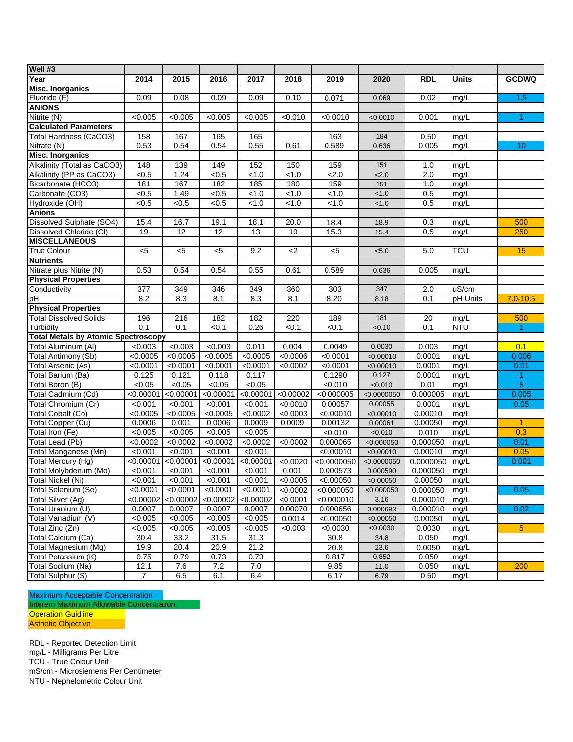| Well #3                                    |                |                 |                 |           |           |             |                  |            |              |                      |
|--------------------------------------------|----------------|-----------------|-----------------|-----------|-----------|-------------|------------------|------------|--------------|----------------------|
| Year                                       | 2014           | 2015            | 2016            | 2017      | 2018      | 2019        | 2020             | <b>RDL</b> | <b>Units</b> | <b>GCDWQ</b>         |
| <b>Misc. Inorganics</b>                    |                |                 |                 |           |           |             |                  |            |              |                      |
| Fluoride (F)                               | 0.09           | 0.08            | 0.09            | 0.09      | 0.10      | 0.071       | 0.069            | 0.02       | mg/L         | 1.5                  |
| <b>ANIONS</b>                              |                |                 |                 |           |           |             |                  |            |              |                      |
| Nitrite (N)                                | < 0.005        | < 0.005         | < 0.005         | < 0.005   | < 0.010   | < 0.0010    | < 0.0010         | 0.001      | mg/L         | 1.                   |
| <b>Calculated Parameters</b>               |                |                 |                 |           |           |             |                  |            |              |                      |
| Total Hardness (CaCO3)                     | 158            | 167             | 165             | 165       |           | 163         | 184              | 0.50       | mg/L         |                      |
| Nitrate (N)                                | 0.53           | 0.54            | 0.54            | 0.55      | 0.61      | 0.589       | 0.636            | 0.005      | mg/L         | 10                   |
| <b>Misc. Inorganics</b>                    |                |                 |                 |           |           |             |                  |            |              |                      |
| Alkalinity (Total as CaCO3)                | 148            | 139             | 149             | 152       | 150       | 159         | 151              | 1.0        | mg/L         |                      |
| Alkalinity (PP as CaCO3)                   | < 0.5          | 1.24            | < 0.5           | < 1.0     | < 1.0     | 2.0         | 2.0              | 2.0        | mg/L         |                      |
| Bicarbonate (HCO3)                         | 181            | 167             | 182             | 185       | 180       | 159         | $\overline{151}$ | 1.0        | mg/L         |                      |
| Carbonate (CO3)                            | < 0.5          | 1.49            | < 0.5           | < 1.0     | < 1.0     | < 1.0       | < 1.0            | 0.5        | mg/L         |                      |
| Hydroxide (OH)                             | < 0.5          | < 0.5           | $\overline{5}$  | < 1.0     | < 1.0     | < 1.0       | 1.0              | 0.5        | mg/L         |                      |
| <b>Anions</b>                              |                |                 |                 |           |           |             |                  |            |              |                      |
| Dissolved Sulphate (SO4)                   | 15.4           | 16.7            | 19.1            | 18.1      | 20.0      | 18.4        | 18.9             | 0.3        | mg/L         | 500                  |
| Dissolved Chloride (CI)                    | 19             | $\overline{12}$ | $\overline{12}$ | 13        | 19        | 15.3        | 15.4             | 0.5        | mg/L         | 250                  |
| <b>MISCELLANEOUS</b>                       |                |                 |                 |           |           |             |                  |            |              |                      |
| <b>True Colour</b>                         | < 5            | $5$             | $<$ 5           | 9.2       | <2        | $<$ 5       | < 5.0            | 5.0        | <b>TCU</b>   | 15                   |
| <b>Nutrients</b>                           |                |                 |                 |           |           |             |                  |            |              |                      |
| Nitrate plus Nitrite (N)                   | 0.53           | 0.54            | 0.54            | 0.55      | 0.61      | 0.589       | 0.636            | 0.005      | mg/L         |                      |
| <b>Physical Properties</b>                 |                |                 |                 |           |           |             |                  |            |              |                      |
| Conductivity                               | 377            | 349             | 346             | 349       | 360       | 303         | 347              | 2.0        | uS/cm        |                      |
| рH                                         | 8.2            | 8.3             | 8.1             | 8.3       | 8.1       | 8.20        | 8.18             | 0.1        | pH Units     | $7.0 - 10.5$         |
| <b>Physical Properties</b>                 |                |                 |                 |           |           |             |                  |            |              |                      |
| <b>Total Dissolved Solids</b>              | 196            | 216             | 182             | 182       | 220       | 189         | 181              | 20         | mg/L         | 500                  |
| Turbidity                                  | 0.1            | 0.1             | < 0.1           | 0.26      | < 0.1     | < 0.1       | < 0.10           | 0.1        | <b>NTU</b>   | 1                    |
| <b>Total Metals by Atomic Spectroscopy</b> |                |                 |                 |           |           |             |                  |            |              |                      |
| Total Aluminum (Al)                        | < 0.003        | < 0.003         | < 0.003         | 0.011     | 0.004     | 0.0049      | 0.0030           | 0.003      | mq/L         | 0.1                  |
| Total Antimony (Sb)                        | < 0.0005       | < 0.0005        | < 0.0005        | < 0.0005  | < 0.0006  | < 0.0001    | < 0.00010        | 0.0001     | mg/L         | 0.006                |
| Total Arsenic (As)                         | < 0.0001       | < 0.0001        | < 0.0001        | < 0.0001  | < 0.0002  | < 0.0001    | < 0.00010        | 0.0001     | mg/L         | 0.01                 |
| Total Barium (Ba)                          | 0.125          | 0.121           | 0.118           | 0.117     |           | 0.1290      | 0.127            | 0.0001     | mg/L         | 1                    |
| Total Boron (B)                            | < 0.05         | < 0.05          | < 0.05          | < 0.05    |           | < 0.010     | < 0.010          | 0.01       | mg/L         | 5                    |
| Total Cadmium (Cd)                         | < 0.00001      | < 0.00001       | < 0.00001       | < 0.00001 | < 0.00002 | < 0.000005  | < 0.0000050      | 0.000005   | mg/L         | 0.005                |
| Total Chromium (Cr)                        | < 0.001        | < 0.001         | < 0.001         | < 0.001   | < 0.0010  | 0.00057     | 0.00055          | 0.0001     | mg/L         | 0.05                 |
| Total Cobalt (Co)                          | < 0.0005       | < 0.0005        | < 0.0005        | < 0.0002  | < 0.0003  | < 0.00010   | < 0.00010        | 0.00010    | mg/L         |                      |
| <b>Total Copper (Cu)</b>                   | 0.0006         | 0.001           | 0.0006          | 0.0009    | 0.0009    | 0.00132     | 0.00061          | 0.00050    | mg/L         | $\blacktriangleleft$ |
| Total Iron (Fe)                            | < 0.005        | < 0.005         | < 0.005         | < 0.005   |           | < 0.010     | < 0.010          | 0.010      | mg/L         | 0.3                  |
| Total Lead (Pb)                            | < 0.0002       | < 0.0002        | < 0.0002        | < 0.0002  | < 0.0002  | 0.000065    | < 0.000050       | 0.000050   | mg/L         | 0.01                 |
| Total Manganese (Mn)                       | < 0.001        | < 0.001         | < 0.001         | < 0.001   |           | < 0.00010   | < 0.00010        | 0.00010    | mg/L         | 0.05                 |
| Total Mercury (Hg)                         | < 0.00001      | < 0.00001       | < 0.00001       | < 0.00001 | < 0.0020  | < 0.0000050 | < 0.0000050      | 0.0000050  | mg/L         | 0.001                |
| Total Molybdenum (Mo)                      | $\sqrt{0.001}$ | < 0.001         | < 0.001         | < 0.001   | 0.001     | 0.000573    | 0.000590         | 0.000050   | mg/L         |                      |
| Total Nickel (Ni)                          | < 0.001        | < 0.001         | < 0.001         | < 0.001   | < 0.0005  | < 0.00050   | < 0.00050        | 0.00050    | mg/L         |                      |
| Total Selenium (Se)                        | < 0.0001       | < 0.0001        | < 0.0001        | < 0.0001  | < 0.0002  | < 0.000050  | < 0.000050       | 0.000050   | mg/L         | 0.05                 |
| Total Silver (Ag)                          | < 0.00002      | < 0.00002       | < 0.00002       | < 0.00002 | < 0.0001  | < 0.000010  | 3.16             | 0.000010   | mg/L         |                      |
| Total Uranium (U)                          | 0.0007         | 0.0007          | 0.0007          | 0.0007    | 0.00070   | 0.000656    | 0.000693         | 0.000010   | mg/L         | 0.02                 |
| Total Vanadium (V)                         | < 0.005        | < 0.005         | < 0.005         | < 0.005   | 0.0014    | < 0.00050   | < 0.00050        | 0.00050    | mg/L         |                      |
| Total Zinc (Zn)                            | < 0.005        | < 0.005         | < 0.005         | < 0.005   | < 0.003   | < 0.0030    | < 0.0030         | 0.0030     | mg/L         | 5 <sub>5</sub>       |
| Total Calcium (Ca)                         | 30.4           | 33.2            | 31.5            | 31.3      |           | 30.8        | 34.8             | 0.050      | mg/L         |                      |
| Total Magnesium (Mg)                       | 19.9           | 20.4            | 20.9            | 21.2      |           | 20.8        | 23.6             | 0.0050     | mg/L         |                      |
| Total Potassium (K)                        | 0.75           | 0.79            | 0.73            | 0.73      |           | 0.817       | 0.852            | 0.050      | mg/L         |                      |
| Total Sodium (Na)                          | 12.1           | 7.6             | $7.2\,$         | 7.0       |           | 9.85        | 11.0             | 0.050      | mg/L         | 200                  |
| Total Sulphur (S)                          | 7              | $6.5\,$         | 6.1             | 6.4       |           | 6.17        | 6.79             | 0.50       | mg/L         |                      |

Maximum Acceptable Concentration Interem Maximum Allowable Concentration **Operation Guidline** Asthetic Objective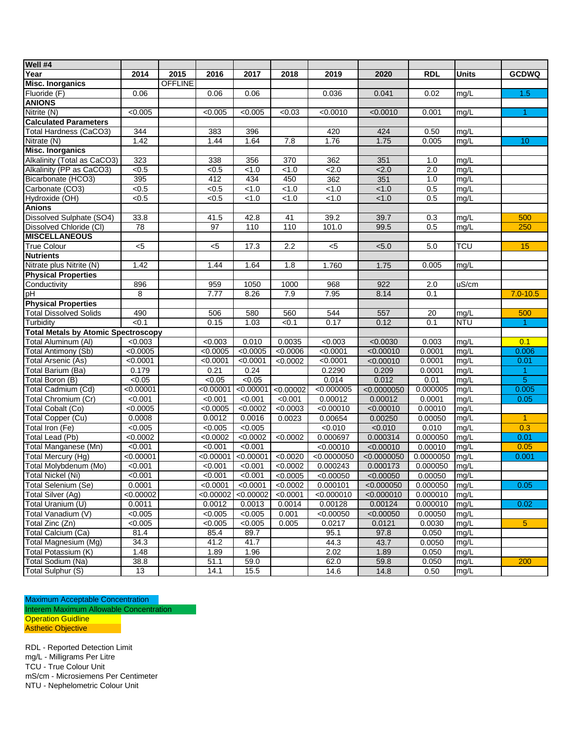| Well #4                                    |                |                |                 |                   |                   |             |             |                  |            |                      |
|--------------------------------------------|----------------|----------------|-----------------|-------------------|-------------------|-------------|-------------|------------------|------------|----------------------|
| Year                                       | 2014           | 2015           | 2016            | 2017              | 2018              | 2019        | 2020        | RDL              | Units      | <b>GCDWQ</b>         |
| <b>Misc. Inorganics</b>                    |                | <b>OFFLINE</b> |                 |                   |                   |             |             |                  |            |                      |
| Fluoride (F)                               | 0.06           |                | 0.06            | 0.06              |                   | 0.036       | 0.041       | 0.02             | mg/L       | 1.5                  |
| <b>ANIONS</b>                              |                |                |                 |                   |                   |             |             |                  |            |                      |
| Nitrite (N)                                | < 0.005        |                | < 0.005         | < 0.005           | < 0.03            | < 0.0010    | < 0.0010    | 0.001            | mg/L       | $\blacktriangleleft$ |
| <b>Calculated Parameters</b>               |                |                |                 |                   |                   |             |             |                  |            |                      |
| <b>Total Hardness (CaCO3)</b>              | 344            |                | 383             | 396               |                   | 420         | 424         | 0.50             | mg/L       |                      |
| Nitrate (N)                                | 1.42           |                | 1.44            | 1.64              | 7.8               | 1.76        | 1.75        | 0.005            | mg/L       | 10                   |
| <b>Misc. Inorganics</b>                    |                |                |                 |                   |                   |             |             |                  |            |                      |
| Alkalinity (Total as CaCO3)                | 323            |                | 338             | 356               | 370               | 362         | 351         | 1.0              | mg/L       |                      |
| Alkalinity (PP as CaCO3)                   | $\sqrt{6.5}$   |                | $\sqrt{6.5}$    | $\overline{21.0}$ | $\overline{$ -1.0 | 2.0         | 2.0         | $\overline{2.0}$ | mg/L       |                      |
| Bicarbonate (HCO3)                         | 395            |                | 412             | 434               | 450               | 362         | 351         | 1.0              | mg/L       |                      |
| Carbonate (CO3)                            | < 0.5          |                | < 0.5           | < 1.0             | < 1.0             | < 1.0       | < 1.0       | 0.5              | mg/L       |                      |
| Hydroxide (OH)                             | < 0.5          |                | < 0.5           | < 1.0             | < 1.0             | < 1.0       | 1.0         | 0.5              | mg/L       |                      |
| <b>Anions</b>                              |                |                |                 |                   |                   |             |             |                  |            |                      |
| Dissolved Sulphate (SO4)                   | 33.8           |                | 41.5            | 42.8              | 41                | 39.2        | 39.7        | 0.3              | mg/L       | 500                  |
| Dissolved Chloride (CI)                    | 78             |                | $\overline{97}$ | 110               | 110               | 101.0       | 99.5        | 0.5              | mg/L       | 250                  |
| <b>MISCELLANEOUS</b>                       |                |                |                 |                   |                   |             |             |                  |            |                      |
| <b>True Colour</b>                         | $\overline{c}$ |                | $5$             | 17.3              | 2.2               | $<$ 5       | < 5.0       | 5.0              | TCU        | 15                   |
| <b>Nutrients</b>                           |                |                |                 |                   |                   |             |             |                  |            |                      |
| Nitrate plus Nitrite (N)                   | 1.42           |                | 1.44            | 1.64              | $\overline{1.8}$  | 1.760       | 1.75        | 0.005            | mg/L       |                      |
| <b>Physical Properties</b>                 |                |                |                 |                   |                   |             |             |                  |            |                      |
| Conductivity                               | 896            |                | 959             | 1050              | 1000              | 968         | 922         | 2.0              | uS/cm      |                      |
| рH                                         | 8              |                | 7.77            | 8.26              | 7.9               | 7.95        | 8.14        | 0.1              |            | $7.0 - 10.5$         |
| <b>Physical Properties</b>                 |                |                |                 |                   |                   |             |             |                  |            |                      |
| <b>Total Dissolved Solids</b>              | 490            |                | 506             | 580               | 560               | 544         | 557         | 20               | mg/L       | 500                  |
| Turbidity                                  | < 0.1          |                | 0.15            | 1.03              | < 0.1             | 0.17        | 0.12        | 0.1              | <b>NTU</b> | 1                    |
| <b>Total Metals by Atomic Spectroscopy</b> |                |                |                 |                   |                   |             |             |                  |            |                      |
| Total Aluminum (AI)                        | < 0.003        |                | < 0.003         | 0.010             | 0.0035            | < 0.003     | < 0.0030    | 0.003            | mg/L       | 0.1                  |
| <b>Total Antimony (Sb)</b>                 | < 0.0005       |                | < 0.0005        | < 0.0005          | < 0.0006          | < 0.0001    | < 0.00010   | 0.0001           | mg/L       | 0.006                |
| Total Arsenic (As)                         | < 0.0001       |                | < 0.0001        | < 0.0001          | < 0.0002          | < 0.0001    | < 0.00010   | 0.0001           | mg/L       | 0.01                 |
| Total Barium (Ba)                          | 0.179          |                | 0.21            | 0.24              |                   | 0.2290      | 0.209       | 0.0001           | mq/L       | 1                    |
| Total Boron (B)                            | < 0.05         |                | < 0.05          | < 0.05            |                   | 0.014       | 0.012       | 0.01             | mg/L       | 5                    |
| Total Cadmium (Cd)                         | < 0.00001      |                | < 0.00001       | < 0.00001         | < 0.00002         | < 0.000005  | < 0.0000050 | 0.000005         | mg/L       | 0.005                |
| Total Chromium (Cr)                        | < 0.001        |                | < 0.001         | < 0.001           | < 0.001           | 0.00012     | 0.00012     | 0.0001           | mg/L       | 0.05                 |
| Total Cobalt (Co)                          | < 0.0005       |                | < 0.0005        | < 0.0002          | < 0.0003          | < 0.00010   | < 0.00010   | 0.00010          | mg/L       |                      |
| Total Copper (Cu)                          | 0.0008         |                | 0.0012          | 0.0016            | 0.0023            | 0.00654     | 0.00250     | 0.00050          | mg/L       | $\blacktriangleleft$ |
| Total Iron (Fe)                            | < 0.005        |                | < 0.005         | < 0.005           |                   | < 0.010     | < 0.010     | 0.010            | mg/L       | 0.3                  |
| Total Lead (Pb)                            | < 0.0002       |                | < 0.0002        | < 0.0002          | < 0.0002          | 0.000697    | 0.000314    | 0.000050         | mg/L       | 0.01                 |
| Total Manganese (Mn)                       | < 0.001        |                | < 0.001         | < 0.001           |                   | < 0.00010   | < 0.00010   | 0.00010          | mg/L       | 0.05                 |
| Total Mercury (Hg)                         | < 0.00001      |                | < 0.00001       | < 0.00001         | < 0.0020          | < 0.0000050 | < 0.0000050 | 0.0000050        | mg/L       | 0.001                |
| Total Molybdenum (Mo)                      | < 0.001        |                | < 0.001         | < 0.001           | < 0.0002          | 0.000243    | 0.000173    | 0.000050         | mg/L       |                      |
| <b>Total Nickel (Ni)</b>                   | < 0.001        |                | < 0.001         | < 0.001           | < 0.0005          | < 0.00050   | < 0.00050   | 0.00050          | mg/L       |                      |
| Total Selenium (Se)                        | 0.0001         |                | < 0.0001        | < 0.0001          | < 0.0002          | 0.000101    | < 0.000050  | 0.000050         | mg/L       | 0.05                 |
| Total Silver (Ag)                          | < 0.00002      |                | < 0.00002       | < 0.00002         | < 0.0001          | < 0.000010  | < 0.000010  | 0.000010         | mg/L       |                      |
| Total Uranium (U)                          | 0.0011         |                | 0.0012          | 0.0013            | 0.0014            | 0.00128     | 0.00124     | 0.000010         | mg/L       | 0.02                 |
| Total Vanadium (V)                         | < 0.005        |                | < 0.005         | < 0.005           | 0.001             | < 0.00050   | < 0.00050   | 0.00050          | mg/L       |                      |
| Total Zinc (Zn)                            | < 0.005        |                | < 0.005         | < 0.005           | 0.005             | 0.0217      | 0.0121      | 0.0030           | mg/L       | 5 <sup>5</sup>       |
| Total Calcium (Ca)                         | 81.4           |                | 85.4            | 89.7              |                   | 95.1        | 97.8        | 0.050            | mg/L       |                      |
| Total Magnesium (Mg)                       | 34.3           |                | 41.2            | 41.7              |                   | 44.3        | 43.7        | 0.0050           | mg/L       |                      |
| Total Potassium (K)                        | 1.48           |                | 1.89            | 1.96              |                   | 2.02        | 1.89        | 0.050            | mg/L       |                      |
| Total Sodium (Na)                          | 38.8           |                | 51.1            | 59.0              |                   | 62.0        | 59.8        | 0.050            | mg/L       | 200                  |
| Total Sulphur (S)                          | 13             |                | 14.1            | 15.5              |                   | 14.6        | 14.8        | 0.50             | mg/L       |                      |
|                                            |                |                |                 |                   |                   |             |             |                  |            |                      |

Maximum Acceptable Concentration Interem Maximum Allowable Concentration Operation Guidline Asthetic Objective